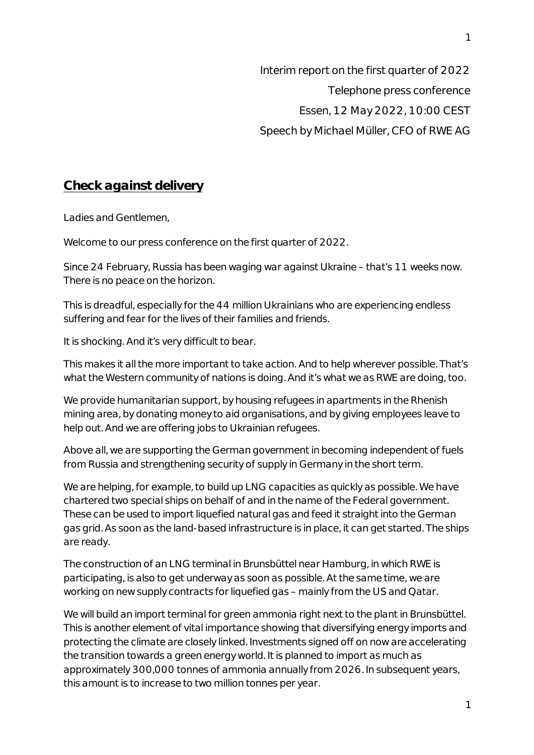Interim report on the first quarter of 2022 Telephone press conference Essen, 12 May 2022, 10:00 CEST Speech by Michael Müller, CFO of RWE AG

## **Check against delivery**

Ladies and Gentlemen,

Welcome to our press conference on the first quarter of 2022.

Since 24 February, Russia has been waging war against Ukraine – that's 11 weeks now. There is no peace on the horizon.

This is dreadful, especially for the 44 million Ukrainians who are experiencing endless suffering and fear for the lives of their families and friends.

It is shocking. And it's very difficult to bear.

This makes it all the more important to take action. And to help wherever possible. That's what the Western community of nations is doing. And it's what we as RWE are doing, too.

We provide humanitarian support, by housing refugees in apartments in the Rhenish mining area, by donating money to aid organisations, and by giving employees leave to help out. And we are offering jobs to Ukrainian refugees.

Above all, we are supporting the German government in becoming independent of fuels from Russia and strengthening security of supply in Germany in the short term.

We are helping, for example, to build up LNG capacities as quickly as possible. We have chartered two special ships on behalf of and in the name of the Federal government. These can be used to import liquefied natural gas and feed it straight into the German gas grid. As soon as the land-based infrastructure is in place, it can get started. The ships are ready.

The construction of an LNG terminal in Brunsbüttel near Hamburg, in which RWE is participating, is also to get underway as soon as possible. At the same time, we are working on new supply contracts for liquefied gas – mainly from the US and Qatar.

We will build an import terminal for green ammonia right next to the plant in Brunsbüttel. This is another element of vital importance showing that diversifying energy imports and protecting the climate are closely linked. Investments signed off on now are accelerating the transition towards a green energy world. It is planned to import as much as approximately 300,000 tonnes of ammonia annually from 2026. In subsequent years, this amount is to increase to two million tonnes per year.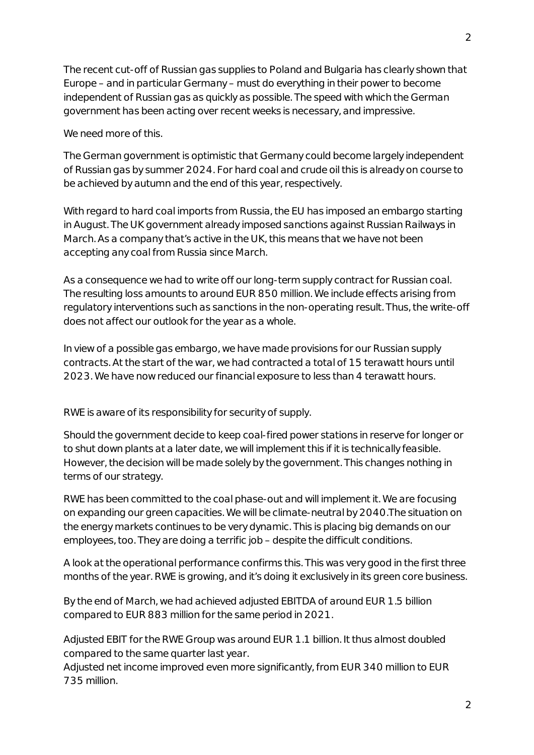The recent cut-off of Russian gas supplies to Poland and Bulgaria has clearly shown that Europe – and in particular Germany – must do everything in their power to become independent of Russian gas as quickly as possible. The speed with which the German government has been acting over recent weeks is necessary, and impressive.

We need more of this.

The German government is optimistic that Germany could become largely independent of Russian gas by summer 2024. For hard coal and crude oil this is already on course to be achieved by autumn and the end of this year, respectively.

With regard to hard coal imports from Russia, the EU has imposed an embargo starting in August. The UK government already imposed sanctions against Russian Railways in March. As a company that's active in the UK, this means that we have not been accepting any coal from Russia since March.

As a consequence we had to write off our long-term supply contract for Russian coal. The resulting loss amounts to around EUR 850 million. We include effects arising from regulatory interventions such as sanctions in the non-operating result. Thus, the write-off does not affect our outlook for the year as a whole.

In view of a possible gas embargo, we have made provisions for our Russian supply contracts. At the start of the war, we had contracted a total of 15 terawatt hours until 2023. We have now reduced our financial exposure to less than 4 terawatt hours.

RWE is aware of its responsibility for security of supply.

Should the government decide to keep coal-fired power stations in reserve for longer or to shut down plants at a later date, we will implement this if it is technically feasible. However, the decision will be made solely by the government. This changes nothing in terms of our strategy.

RWE has been committed to the coal phase-out and will implement it. We are focusing on expanding our green capacities. We will be climate-neutral by 2040.The situation on the energy markets continues to be very dynamic. This is placing big demands on our employees, too. They are doing a terrific job – despite the difficult conditions.

A look at the operational performance confirms this. This was very good in the first three months of the year. RWE is growing, and it's doing it exclusively in its green core business.

By the end of March, we had achieved adjusted EBITDA of around EUR 1.5 billion compared to EUR 883 million for the same period in 2021.

Adjusted EBIT for the RWE Group was around EUR 1.1 billion. It thus almost doubled compared to the same quarter last year.

Adjusted net income improved even more significantly, from EUR 340 million to EUR 735 million.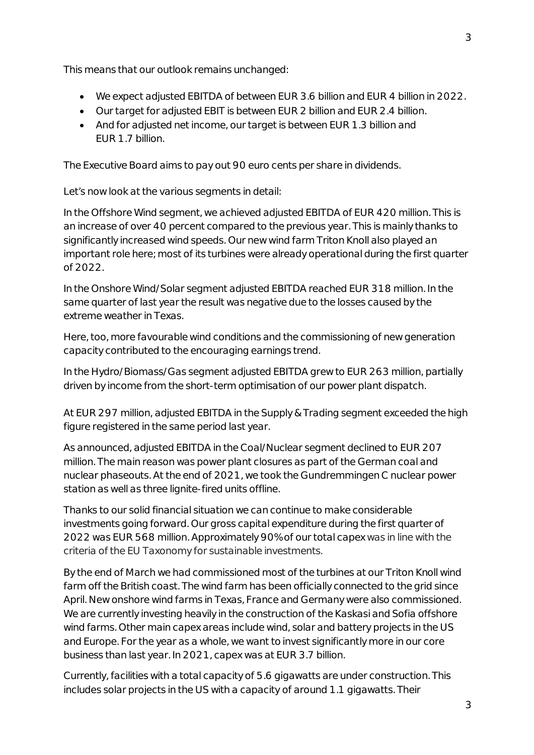This means that our outlook remains unchanged:

- · We expect adjusted EBITDA of between EUR 3.6 billion and EUR 4 billion in 2022.
- · Our target for adjusted EBIT is between EUR 2 billion and EUR 2.4 billion.
- · And for adjusted net income, our target is between EUR 1.3 billion and EUR 1.7 billion.

The Executive Board aims to pay out 90 euro cents per share in dividends.

Let's now look at the various segments in detail:

In the Offshore Wind segment, we achieved adjusted EBITDA of EUR 420 million. This is an increase of over 40 percent compared to the previous year. This is mainly thanks to significantly increased wind speeds. Our new wind farm Triton Knoll also played an important role here; most of its turbines were already operational during the first quarter of 2022.

In the Onshore Wind/Solar segment adjusted EBITDA reached EUR 318 million. In the same quarter of last year the result was negative due to the losses caused by the extreme weather in Texas.

Here, too, more favourable wind conditions and the commissioning of new generation capacity contributed to the encouraging earnings trend.

In the Hydro/Biomass/Gas segment adjusted EBITDA grew to EUR 263 million, partially driven by income from the short-term optimisation of our power plant dispatch.

At EUR 297 million, adjusted EBITDA in the Supply & Trading segment exceeded the high figure registered in the same period last year.

As announced, adjusted EBITDA in the Coal/Nuclear segment declined to EUR 207 million. The main reason was power plant closures as part of the German coal and nuclear phaseouts. At the end of 2021, we took the Gundremmingen C nuclear power station as well as three lignite-fired units offline.

Thanks to our solid financial situation we can continue to make considerable investments going forward. Our gross capital expenditure during the first quarter of 2022 was EUR 568 million. Approximately 90% of our total capex was in line with the criteria of the EU Taxonomy for sustainable investments.

By the end of March we had commissioned most of the turbines at our Triton Knoll wind farm off the British coast. The wind farm has been officially connected to the grid since April. New onshore wind farms in Texas, France and Germany were also commissioned. We are currently investing heavily in the construction of the Kaskasi and Sofia offshore wind farms. Other main capex areas include wind, solar and battery projects in the US and Europe. For the year as a whole, we want to invest significantly more in our core business than last year. In 2021, capex was at EUR 3.7 billion.

Currently, facilities with a total capacity of 5.6 gigawatts are under construction. This includes solar projects in the US with a capacity of around 1.1 gigawatts. Their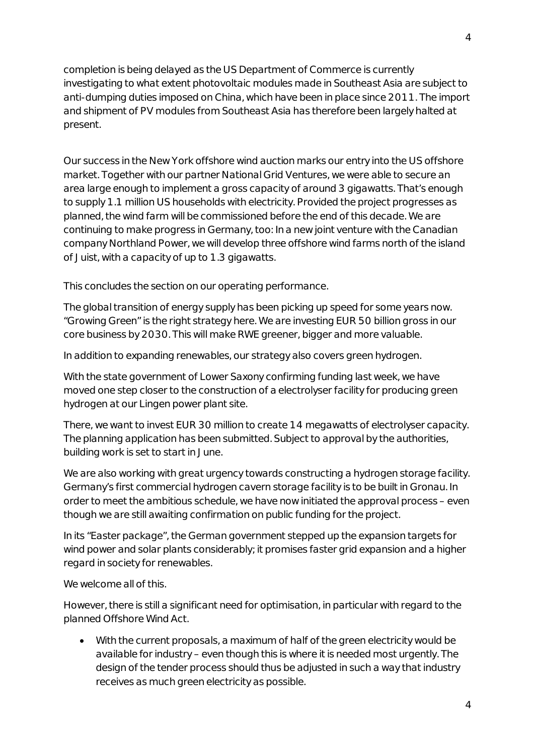completion is being delayed as the US Department of Commerce is currently investigating to what extent photovoltaic modules made in Southeast Asia are subject to anti-dumping duties imposed on China, which have been in place since 2011. The import and shipment of PV modules from Southeast Asia has therefore been largely halted at present.

Our success in the New York offshore wind auction marks our entry into the US offshore market. Together with our partner National Grid Ventures, we were able to secure an area large enough to implement a gross capacity of around 3 gigawatts. That's enough to supply 1.1 million US households with electricity. Provided the project progresses as planned, the wind farm will be commissioned before the end of this decade. We are continuing to make progress in Germany, too: In a new joint venture with the Canadian company Northland Power, we will develop three offshore wind farms north of the island of Juist, with a capacity of up to 1.3 gigawatts.

This concludes the section on our operating performance.

The global transition of energy supply has been picking up speed for some years now. "Growing Green" is the right strategy here. We are investing EUR 50 billion gross in our core business by 2030. This will make RWE greener, bigger and more valuable.

In addition to expanding renewables, our strategy also covers green hydrogen.

With the state government of Lower Saxony confirming funding last week, we have moved one step closer to the construction of a electrolyser facility for producing green hydrogen at our Lingen power plant site.

There, we want to invest EUR 30 million to create 14 megawatts of electrolyser capacity. The planning application has been submitted. Subject to approval by the authorities, building work is set to start in June.

We are also working with great urgency towards constructing a hydrogen storage facility. Germany's first commercial hydrogen cavern storage facility is to be built in Gronau. In order to meet the ambitious schedule, we have now initiated the approval process – even though we are still awaiting confirmation on public funding for the project.

In its "Easter package", the German government stepped up the expansion targets for wind power and solar plants considerably; it promises faster grid expansion and a higher regard in society for renewables.

We welcome all of this.

However, there is still a significant need for optimisation, in particular with regard to the planned Offshore Wind Act.

· With the current proposals, a maximum of half of the green electricity would be available for industry – even though this is where it is needed most urgently. The design of the tender process should thus be adjusted in such a way that industry receives as much green electricity as possible.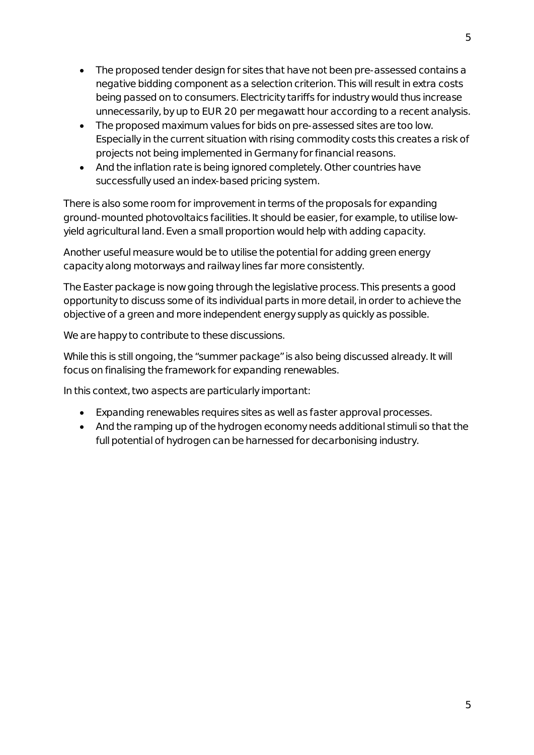- · The proposed tender design for sites that have not been pre-assessed contains a negative bidding component as a selection criterion. This will result in extra costs being passed on to consumers. Electricity tariffs for industry would thus increase unnecessarily, by up to EUR 20 per megawatt hour according to a recent analysis.
- · The proposed maximum values for bids on pre-assessed sites are too low. Especially in the current situation with rising commodity costs this creates a risk of projects not being implemented in Germany for financial reasons.
- · And the inflation rate is being ignored completely. Other countries have successfully used an index-based pricing system.

There is also some room for improvement in terms of the proposals for expanding ground-mounted photovoltaics facilities. It should be easier, for example, to utilise lowyield agricultural land. Even a small proportion would help with adding capacity.

Another useful measure would be to utilise the potential for adding green energy capacity along motorways and railway lines far more consistently.

The Easter package is now going through the legislative process. This presents a good opportunity to discuss some of its individual parts in more detail, in order to achieve the objective of a green and more independent energy supply as quickly as possible.

We are happy to contribute to these discussions.

While this is still ongoing, the "summer package" is also being discussed already. It will focus on finalising the framework for expanding renewables.

In this context, two aspects are particularly important:

- · Expanding renewables requires sites as well as faster approval processes.
- · And the ramping up of the hydrogen economy needs additional stimuli so that the full potential of hydrogen can be harnessed for decarbonising industry.